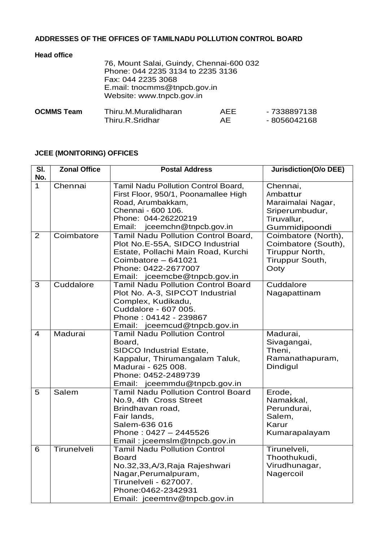## **ADDRESSES OF THE OFFICES OF TAMILNADU POLLUTION CONTROL BOARD**

| <b>Head office</b><br>76, Mount Salai, Guindy, Chennai-600 032<br>Phone: 044 2235 3134 to 2235 3136<br>Fax: 044 2235 3068<br>E.mail: tnocmms@tnpcb.gov.in<br>Website: www.tnpcb.gov.in |                      |     |              |
|----------------------------------------------------------------------------------------------------------------------------------------------------------------------------------------|----------------------|-----|--------------|
| <b>OCMMS Team</b>                                                                                                                                                                      | Thiru.M.Muralidharan | AFF | - 7338897138 |
|                                                                                                                                                                                        | Thiru.R.Sridhar      | AF  | -8056042168  |

## **JCEE (MONITORING) OFFICES**

| SI.<br>No.     | <b>Zonal Office</b> | <b>Postal Address</b>                                                                                                                                                                           | <b>Jurisdiction(O/o DEE)</b>                                                                |
|----------------|---------------------|-------------------------------------------------------------------------------------------------------------------------------------------------------------------------------------------------|---------------------------------------------------------------------------------------------|
| $\mathbf{1}$   | Chennai             | Tamil Nadu Pollution Control Board,<br>First Floor, 950/1, Poonamallee High<br>Road, Arumbakkam,<br>Chennai - 600 106.<br>Phone: 044-26220219<br>Email:<br>jceemchn@tnpcb.gov.in                | Chennai,<br>Ambattur<br>Maraimalai Nagar,<br>Sriperumbudur,<br>Tiruvallur,<br>Gummidipoondi |
| 2              | Coimbatore          | Tamil Nadu Pollution Control Board,<br>Plot No.E-55A, SIDCO Industrial<br>Estate, Pollachi Main Road, Kurchi<br>Coimbatore - 641021<br>Phone: 0422-2677007<br>Email: jceemcbe@tnpcb.gov.in      | Coimbatore (North),<br>Coimbatore (South),<br>Tiruppur North,<br>Tiruppur South,<br>Ooty    |
| 3              | Cuddalore           | <b>Tamil Nadu Pollution Control Board</b><br>Plot No. A-3, SIPCOT Industrial<br>Complex, Kudikadu,<br>Cuddalore - 607 005.<br>Phone: 04142 - 239867<br>Email: jceemcud@tnpcb.gov.in             | Cuddalore<br>Nagapattinam                                                                   |
| $\overline{4}$ | Madurai             | <b>Tamil Nadu Pollution Control</b><br>Board,<br><b>SIDCO Industrial Estate,</b><br>Kappalur, Thirumangalam Taluk,<br>Madurai - 625 008.<br>Phone: 0452-2489739<br>Email: jceemmdu@tnpcb.gov.in | Madurai,<br>Sivagangai,<br>Theni,<br>Ramanathapuram,<br>Dindigul                            |
| 5              | Salem               | <b>Tamil Nadu Pollution Control Board</b><br>No.9, 4th Cross Street<br>Brindhavan road,<br>Fair lands,<br>Salem-636 016<br>Phone: 0427 - 2445526<br>Email: jceemslm@tnpcb.gov.in                | Erode,<br>Namakkal,<br>Perundurai,<br>Salem,<br>Karur<br>Kumarapalayam                      |
| 6              | Tirunelveli         | <b>Tamil Nadu Pollution Control</b><br><b>Board</b><br>No.32,33,A/3, Raja Rajeshwari<br>Nagar, Perumalpuram,<br>Tirunelveli - 627007.<br>Phone:0462-2342931<br>Email: jceemtnv@tnpcb.gov.in     | Tirunelveli,<br>Thoothukudi,<br>Virudhunagar,<br>Nagercoil                                  |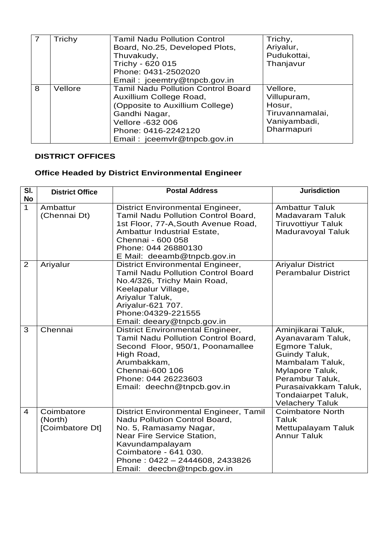|   | Trichy  | <b>Tamil Nadu Pollution Control</b><br>Board, No.25, Developed Plots,<br>Thuvakudy,<br>Trichy - 620 015<br>Phone: 0431-2502020<br>Email: jceemtry@tnpcb.gov.in                                      | Trichy,<br>Ariyalur,<br>Pudukottai,<br>Thanjavur                                   |
|---|---------|-----------------------------------------------------------------------------------------------------------------------------------------------------------------------------------------------------|------------------------------------------------------------------------------------|
| 8 | Vellore | <b>Tamil Nadu Pollution Control Board</b><br>Auxillium College Road,<br>(Opposite to Auxillium College)<br>Gandhi Nagar,<br>Vellore -632 006<br>Phone: 0416-2242120<br>Email: jceemvlr@tnpcb.gov.in | Vellore,<br>Villupuram,<br>Hosur,<br>Tiruvannamalai,<br>Vaniyambadi,<br>Dharmapuri |

## **DISTRICT OFFICES**

## **Office Headed by District Environmental Engineer**

| SI.<br><b>No</b> | <b>District Office</b>                   | <b>Postal Address</b>                                                                                                                                                                                                                       | <b>Jurisdiction</b>                                                                                                                                                                                               |
|------------------|------------------------------------------|---------------------------------------------------------------------------------------------------------------------------------------------------------------------------------------------------------------------------------------------|-------------------------------------------------------------------------------------------------------------------------------------------------------------------------------------------------------------------|
| $\mathbf{1}$     | Ambattur<br>(Chennai Dt)                 | <b>District Environmental Engineer,</b><br>Tamil Nadu Pollution Control Board,<br>1st Floor, 77-A, South Avenue Road,<br>Ambattur Industrial Estate,<br>Chennai - 600 058<br>Phone: 044 26880130<br>E Mail: deeamb@tnpcb.gov.in             | <b>Ambattur Taluk</b><br><b>Madavaram Taluk</b><br><b>Tiruvottiyur Taluk</b><br>Maduravoyal Taluk                                                                                                                 |
| 2                | Ariyalur                                 | <b>District Environmental Engineer,</b><br><b>Tamil Nadu Pollution Control Board</b><br>No.4/326, Trichy Main Road,<br>Keelapalur Village,<br>Ariyalur Taluk,<br>Ariyalur-621 707.<br>Phone: 04329-221555<br>Email: deeary@tnpcb.gov.in     | <b>Ariyalur District</b><br><b>Perambalur District</b>                                                                                                                                                            |
| 3                | Chennai                                  | <b>District Environmental Engineer,</b><br>Tamil Nadu Pollution Control Board,<br>Second Floor, 950/1, Poonamallee<br>High Road,<br>Arumbakkam,<br>Chennai-600 106<br>Phone: 044 26223603<br>Email: deechn@tnpcb.gov.in                     | Aminjikarai Taluk,<br>Ayanavaram Taluk,<br>Egmore Taluk,<br>Guindy Taluk,<br>Mambalam Taluk,<br>Mylapore Taluk,<br>Perambur Taluk,<br>Purasaivakkam Taluk,<br><b>Tondaiarpet Taluk,</b><br><b>Velachery Taluk</b> |
| $\overline{4}$   | Coimbatore<br>(North)<br>[Coimbatore Dt] | District Environmental Engineer, Tamil<br>Nadu Pollution Control Board,<br>No. 5, Ramasamy Nagar,<br>Near Fire Service Station,<br>Kavundampalayam<br>Coimbatore - 641 030.<br>Phone: 0422 - 2444608, 2433826<br>Email: deecbn@tnpcb.gov.in | <b>Coimbatore North</b><br>Taluk<br>Mettupalayam Taluk<br><b>Annur Taluk</b>                                                                                                                                      |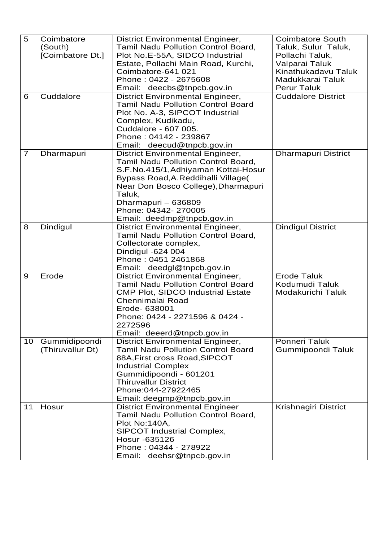| 5              | Coimbatore       | <b>District Environmental Engineer,</b>                               | <b>Coimbatore South</b>    |
|----------------|------------------|-----------------------------------------------------------------------|----------------------------|
|                | (South)          | Tamil Nadu Pollution Control Board,                                   | Taluk, Sulur Taluk,        |
|                | [Coimbatore Dt.] | Plot No.E-55A, SIDCO Industrial                                       | Pollachi Taluk,            |
|                |                  | Estate, Pollachi Main Road, Kurchi,                                   | Valparai Taluk             |
|                |                  | Coimbatore-641 021                                                    | Kinathukadavu Taluk        |
|                |                  | Phone: 0422 - 2675608                                                 | Madukkarai Taluk           |
|                |                  | Email: deecbs@tnpcb.gov.in                                            | <b>Perur Taluk</b>         |
| 6              | Cuddalore        | <b>District Environmental Engineer,</b>                               | <b>Cuddalore District</b>  |
|                |                  | <b>Tamil Nadu Pollution Control Board</b>                             |                            |
|                |                  | Plot No. A-3, SIPCOT Industrial                                       |                            |
|                |                  | Complex, Kudikadu,                                                    |                            |
|                |                  | Cuddalore - 607 005.                                                  |                            |
|                |                  | Phone: 04142 - 239867                                                 |                            |
|                |                  | Email: deecud@tnpcb.gov.in                                            |                            |
| $\overline{7}$ | Dharmapuri       | <b>District Environmental Engineer,</b>                               | <b>Dharmapuri District</b> |
|                |                  | Tamil Nadu Pollution Control Board,                                   |                            |
|                |                  | S.F.No.415/1, Adhiyaman Kottai-Hosur                                  |                            |
|                |                  | Bypass Road, A. Reddihalli Village(                                   |                            |
|                |                  | Near Don Bosco College), Dharmapuri                                   |                            |
|                |                  | Taluk,                                                                |                            |
|                |                  | Dharmapuri - 636809                                                   |                            |
|                |                  | Phone: 04342- 270005                                                  |                            |
|                |                  | Email: deedmp@tnpcb.gov.in                                            |                            |
| 8              | Dindigul         | <b>District Environmental Engineer,</b>                               | <b>Dindigul District</b>   |
|                |                  | Tamil Nadu Pollution Control Board,                                   |                            |
|                |                  | Collectorate complex,                                                 |                            |
|                |                  | Dindigul -624 004                                                     |                            |
|                |                  | Phone: 0451 2461868                                                   |                            |
|                |                  | Email: deedgl@tnpcb.gov.in                                            |                            |
| 9              | Erode            | <b>District Environmental Engineer,</b>                               | <b>Erode Taluk</b>         |
|                |                  | <b>Tamil Nadu Pollution Control Board</b>                             | Kodumudi Taluk             |
|                |                  | <b>CMP Plot, SIDCO Industrial Estate</b>                              | Modakurichi Taluk          |
|                |                  | Chennimalai Road                                                      |                            |
|                |                  | Erode- 638001<br>Phone: 0424 - 2271596 & 0424 -                       |                            |
|                |                  |                                                                       |                            |
|                |                  | 2272596                                                               |                            |
| 10             | Gummidipoondi    | Email: deeerd@tnpcb.gov.in<br><b>District Environmental Engineer,</b> | <b>Ponneri Taluk</b>       |
|                | (Thiruvallur Dt) | <b>Tamil Nadu Pollution Control Board</b>                             | Gummipoondi Taluk          |
|                |                  | 88A, First cross Road, SIPCOT                                         |                            |
|                |                  | <b>Industrial Complex</b>                                             |                            |
|                |                  | Gummidipoondi - 601201                                                |                            |
|                |                  | <b>Thiruvallur District</b>                                           |                            |
|                |                  | Phone: 044-27922465                                                   |                            |
|                |                  | Email: deegmp@tnpcb.gov.in                                            |                            |
| 11             | Hosur            | <b>District Environmental Engineer</b>                                | Krishnagiri District       |
|                |                  | Tamil Nadu Pollution Control Board,                                   |                            |
|                |                  | Plot No:140A,                                                         |                            |
|                |                  | SIPCOT Industrial Complex,                                            |                            |
|                |                  | Hosur -635126                                                         |                            |
|                |                  | Phone: 04344 - 278922                                                 |                            |
|                |                  | Email: deehsr@tnpcb.gov.in                                            |                            |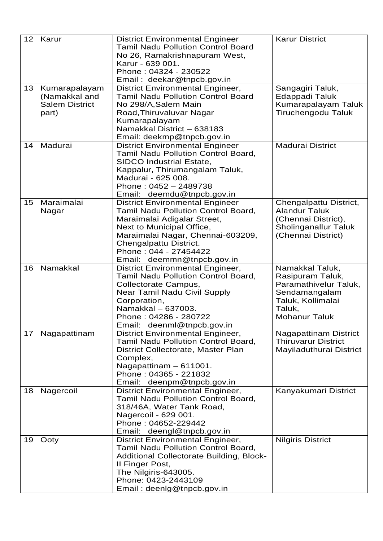| 12 | Karur                                                            | <b>District Environmental Engineer</b><br><b>Tamil Nadu Pollution Control Board</b><br>No 26, Ramakrishnapuram West,<br>Karur - 639 001.<br>Phone: 04324 - 230522<br>Email: deekar@tnpcb.gov.in                                                                        | <b>Karur District</b>                                                                                                                |
|----|------------------------------------------------------------------|------------------------------------------------------------------------------------------------------------------------------------------------------------------------------------------------------------------------------------------------------------------------|--------------------------------------------------------------------------------------------------------------------------------------|
| 13 | Kumarapalayam<br>(Namakkal and<br><b>Salem District</b><br>part) | <b>District Environmental Engineer,</b><br><b>Tamil Nadu Pollution Control Board</b><br>No 298/A, Salem Main<br>Road, Thiruvaluvar Nagar<br>Kumarapalayam<br>Namakkal District - 638183<br>Email: deekmp@tnpcb.gov.in                                                  | Sangagiri Taluk,<br>Edappadi Taluk<br>Kumarapalayam Taluk<br>Tiruchengodu Taluk                                                      |
| 14 | Madurai                                                          | <b>District Environmental Engineer</b><br>Tamil Nadu Pollution Control Board,<br><b>SIDCO Industrial Estate,</b><br>Kappalur, Thirumangalam Taluk,<br>Madurai - 625 008.<br>Phone: 0452 - 2489738<br>Email: deemdu@tnpcb.gov.in                                        | <b>Madurai District</b>                                                                                                              |
| 15 | Maraimalai<br>Nagar                                              | <b>District Environmental Engineer</b><br><b>Tamil Nadu Pollution Control Board,</b><br>Maraimalai Adigalar Street,<br>Next to Municipal Office,<br>Maraimalai Nagar, Chennai-603209,<br>Chengalpattu District.<br>Phone: 044 - 27454422<br>Email: deemmn@tnpcb.gov.in | Chengalpattu District,<br><b>Alandur Taluk</b><br>(Chennai District),<br><b>Sholinganallur Taluk</b><br>(Chennai District)           |
| 16 | Namakkal                                                         | <b>District Environmental Engineer,</b><br>Tamil Nadu Pollution Control Board,<br>Collectorate Campus,<br>Near Tamil Nadu Civil Supply<br>Corporation,<br>Namakkal - 637003.<br>Phone: 04286 - 280722<br>Email: deenml@tnpcb.gov.in                                    | Namakkal Taluk,<br>Rasipuram Taluk,<br>Paramathivelur Taluk,<br>Sendamangalam<br>Taluk, Kollimalai<br>Taluk,<br><b>Mohanur Taluk</b> |
| 17 | Nagapattinam                                                     | <b>District Environmental Engineer,</b><br><b>Tamil Nadu Pollution Control Board,</b><br>District Collectorate, Master Plan<br>Complex,<br>Nagapattinam - 611001.<br>Phone: 04365 - 221832<br>Email: deenpm@tnpcb.gov.in                                               | <b>Nagapattinam District</b><br><b>Thiruvarur District</b><br>Mayiladuthurai District                                                |
| 18 | Nagercoil                                                        | <b>District Environmental Engineer,</b><br>Tamil Nadu Pollution Control Board,<br>318/46A, Water Tank Road,<br>Nagercoil - 629 001.<br>Phone: 04652-229442<br>Email: deengl@tnpcb.gov.in                                                                               | Kanyakumari District                                                                                                                 |
| 19 | Ooty                                                             | <b>District Environmental Engineer,</b><br>Tamil Nadu Pollution Control Board,<br><b>Additional Collectorate Building, Block-</b><br>II Finger Post,<br>The Nilgiris-643005.<br>Phone: 0423-2443109<br>Email: deenlg@tnpcb.gov.in                                      | <b>Nilgiris District</b>                                                                                                             |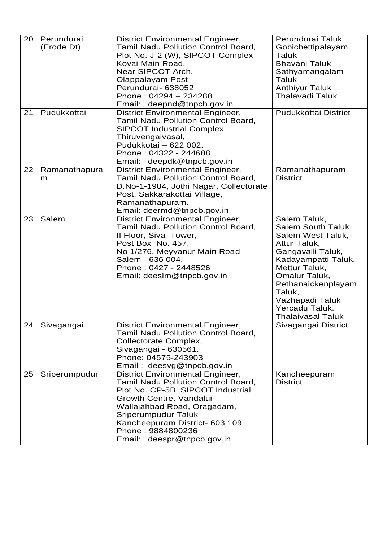| 20 | Perundurai<br>(Erode Dt) | <b>District Environmental Engineer,</b><br>Tamil Nadu Pollution Control Board,<br>Plot No. J-2 (W), SIPCOT Complex<br>Kovai Main Road,<br>Near SIPCOT Arch,<br>Olappalayam Post<br>Perundurai- 638052<br>Phone: 04294 - 234288<br>Email: deepnd@tnpcb.gov.in                                | Perundurai Taluk<br>Gobichettipalayam<br>Taluk<br><b>Bhavani Taluk</b><br>Sathyamangalam<br>Taluk<br><b>Anthiyur Taluk</b><br><b>Thalavadi Taluk</b>                                                                                                   |
|----|--------------------------|---------------------------------------------------------------------------------------------------------------------------------------------------------------------------------------------------------------------------------------------------------------------------------------------|--------------------------------------------------------------------------------------------------------------------------------------------------------------------------------------------------------------------------------------------------------|
| 21 | Pudukkottai              | <b>District Environmental Engineer,</b><br>Tamil Nadu Pollution Control Board,<br>SIPCOT Industrial Complex,<br>Thiruvengaivasal,<br>Pudukkotai - 622 002.<br>Phone: 04322 - 244688<br>Email: deepdk@tnpcb.gov.in                                                                           | Pudukkottai District                                                                                                                                                                                                                                   |
| 22 | Ramanathapura<br>m       | <b>District Environmental Engineer,</b><br>Tamil Nadu Pollution Control Board,<br>D.No-1-1984, Jothi Nagar, Collectorate<br>Post, Sakkarakottai Village,<br>Ramanathapuram.<br>Email: deermd@tnpcb.gov.in                                                                                   | Ramanathapuram<br><b>District</b>                                                                                                                                                                                                                      |
| 23 | Salem                    | <b>District Environmental Engineer,</b><br>Tamil Nadu Pollution Control Board,<br>Il Floor, Siva Tower,<br>Post Box No. 457,<br>No 1/276, Meyyanur Main Road<br>Salem - 636 004.<br>Phone: 0427 - 2448526<br>Email: deeslm@tnpcb.gov.in                                                     | Salem Taluk,<br>Salem South Taluk,<br>Salem West Taluk,<br>Attur Taluk,<br>Gangavalli Taluk,<br>Kadayampatti Taluk,<br>Mettur Taluk,<br>Omalur Taluk,<br>Pethanaickenplayam<br>Taluk,<br>Vazhapadi Taluk<br>Yercadu Taluk.<br><b>Thalaivasal Taluk</b> |
| 24 | Sivagangai               | <b>District Environmental Engineer,</b><br>Tamil Nadu Pollution Control Board,<br>Collectorate Complex,<br>Sivagangai - 630561.<br>Phone: 04575-243903<br>Email: deesvg@tnpcb.gov.in                                                                                                        | Sivagangai District                                                                                                                                                                                                                                    |
| 25 | Sriperumpudur            | <b>District Environmental Engineer,</b><br>Tamil Nadu Pollution Control Board,<br>Plot No. CP-5B, SIPCOT Industrial<br>Growth Centre, Vandalur -<br>Wallajahbad Road, Oragadam,<br>Sriperumpudur Taluk<br>Kancheepuram District- 603 109<br>Phone: 9884800236<br>Email: deespr@tnpcb.gov.in | Kancheepuram<br><b>District</b>                                                                                                                                                                                                                        |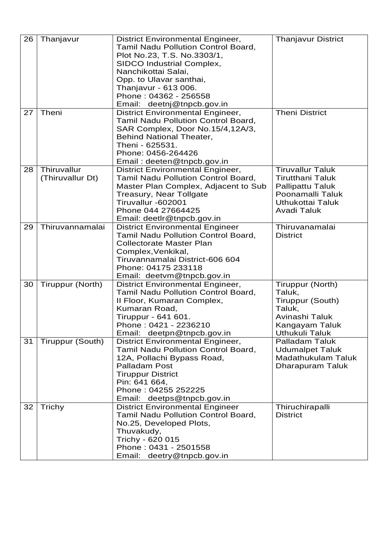| 26 | Thanjavur                       | <b>District Environmental Engineer,</b><br>Tamil Nadu Pollution Control Board,<br>Plot No.23, T.S. No.3303/1,<br>SIDCO Industrial Complex,<br>Nanchikottai Salai,<br>Opp. to Ulavar santhai,<br>Thanjavur - 613 006.<br>Phone: 04362 - 256558<br>Email: deetnj@tnpcb.gov.in | <b>Thanjavur District</b>                                                                                                                          |
|----|---------------------------------|-----------------------------------------------------------------------------------------------------------------------------------------------------------------------------------------------------------------------------------------------------------------------------|----------------------------------------------------------------------------------------------------------------------------------------------------|
| 27 | Theni                           | <b>District Environmental Engineer,</b><br>Tamil Nadu Pollution Control Board,<br>SAR Complex, Door No.15/4,12A/3,<br><b>Behind National Theater,</b><br>Theni - 625531.<br>Phone: 0456-264426<br>Email: deeten@tnpcb.gov.in                                                | <b>Theni District</b>                                                                                                                              |
| 28 | Thiruvallur<br>(Thiruvallur Dt) | <b>District Environmental Engineer,</b><br>Tamil Nadu Pollution Control Board,<br>Master Plan Complex, Adjacent to Sub<br>Treasury, Near Tollgate<br>Tiruvallur -602001<br>Phone 044 27664425<br>Email: deetlr@tnpcb.gov.in                                                 | <b>Tiruvallur Taluk</b><br><b>Tirutthani Taluk</b><br><b>Pallipattu Taluk</b><br>Poonamalli Taluk<br><b>Uthukottai Taluk</b><br><b>Avadi Taluk</b> |
| 29 | Thiruvannamalai                 | <b>District Environmental Engineer</b><br>Tamil Nadu Pollution Control Board,<br><b>Collectorate Master Plan</b><br>Complex, Venkikal,<br>Tiruvannamalai District-606 604<br>Phone: 04175 233118<br>Email: deetvm@tnpcb.gov.in                                              | Thiruvanamalai<br><b>District</b>                                                                                                                  |
| 30 | Tiruppur (North)                | <b>District Environmental Engineer,</b><br>Tamil Nadu Pollution Control Board,<br>II Floor, Kumaran Complex,<br>Kumaran Road,<br>Tiruppur - 641 601.<br>Phone: 0421 - 2236210<br>Email: deetpn@tnpcb.gov.in                                                                 | Tiruppur (North)<br>Taluk,<br>Tiruppur (South)<br>Taluk,<br>Avinashi Taluk<br>Kangayam Taluk<br><b>Uthukuli Taluk</b>                              |
| 31 | Tiruppur (South)                | <b>District Environmental Engineer,</b><br>Tamil Nadu Pollution Control Board,<br>12A, Pollachi Bypass Road,<br>Palladam Post<br><b>Tiruppur District</b><br>Pin: 641 664,<br>Phone: 04255 252225<br>Email: deetps@tnpcb.gov.in                                             | <b>Palladam Taluk</b><br><b>Udumalpet Taluk</b><br>Madathukulam Taluk<br><b>Dharapuram Taluk</b>                                                   |
| 32 | Trichy                          | <b>District Environmental Engineer</b><br>Tamil Nadu Pollution Control Board,<br>No.25, Developed Plots,<br>Thuvakudy,<br>Trichy - 620 015<br>Phone: 0431 - 2501558<br>Email: deetry@tnpcb.gov.in                                                                           | Thiruchirapalli<br><b>District</b>                                                                                                                 |